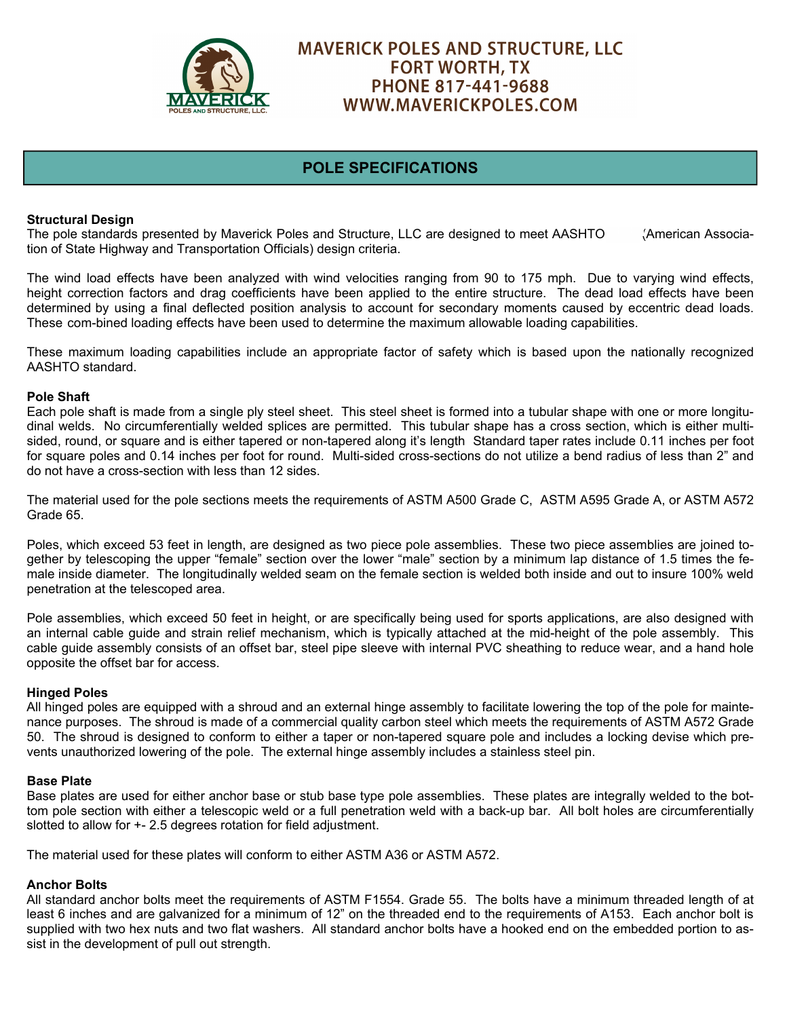

# **MAVERICK POLES AND STRUCTURE, LLC FORT WORTH, TX** PHONE 817-441-9688 WWW.MAVERICKPOLES.COM

## **POLE SPECIFICATIONS**

## **Structural Design**

The pole standards presented by Maverick Poles and Structure, LLC are designed to meet AASHTO (American Association of State Highway and Transportation Officials) design criteria.

The wind load effects have been analyzed with wind velocities ranging from 90 to 175 mph. Due to varying wind effects, height correction factors and drag coefficients have been applied to the entire structure. The dead load effects have been determined by using a final deflected position analysis to account for secondary moments caused by eccentric dead loads. These com-bined loading effects have been used to determine the maximum allowable loading capabilities.

These maximum loading capabilities include an appropriate factor of safety which is based upon the nationally recognized AASHTO standard.

#### **Pole Shaft**

Each pole shaft is made from a single ply steel sheet. This steel sheet is formed into a tubular shape with one or more longitudinal welds. No circumferentially welded splices are permitted. This tubular shape has a cross section, which is either multisided, round, or square and is either tapered or non-tapered along it's length Standard taper rates include 0.11 inches per foot for square poles and 0.14 inches per foot for round. Multi-sided cross-sections do not utilize a bend radius of less than 2" and do not have a cross-section with less than 12 sides.

The material used for the pole sections meets the requirements of ASTM A500 Grade C, ASTM A595 Grade A, or ASTM A572 Grade 65.

Poles, which exceed 53 feet in length, are designed as two piece pole assemblies. These two piece assemblies are joined together by telescoping the upper "female" section over the lower "male" section by a minimum lap distance of 1.5 times the female inside diameter. The longitudinally welded seam on the female section is welded both inside and out to insure 100% weld penetration at the telescoped area.

Pole assemblies, which exceed 50 feet in height, or are specifically being used for sports applications, are also designed with an internal cable guide and strain relief mechanism, which is typically attached at the mid-height of the pole assembly. This cable guide assembly consists of an offset bar, steel pipe sleeve with internal PVC sheathing to reduce wear, and a hand hole opposite the offset bar for access.

#### **Hinged Poles**

All hinged poles are equipped with a shroud and an external hinge assembly to facilitate lowering the top of the pole for maintenance purposes. The shroud is made of a commercial quality carbon steel which meets the requirements of ASTM A572 Grade 50. The shroud is designed to conform to either a taper or non-tapered square pole and includes a locking devise which prevents unauthorized lowering of the pole. The external hinge assembly includes a stainless steel pin.

#### **Base Plate**

Base plates are used for either anchor base or stub base type pole assemblies. These plates are integrally welded to the bottom pole section with either a telescopic weld or a full penetration weld with a back-up bar. All bolt holes are circumferentially slotted to allow for +- 2.5 degrees rotation for field adjustment.

The material used for these plates will conform to either ASTM A36 or ASTM A572.

### **Anchor Bolts**

All standard anchor bolts meet the requirements of ASTM F1554. Grade 55. The bolts have a minimum threaded length of at least 6 inches and are galvanized for a minimum of 12" on the threaded end to the requirements of A153. Each anchor bolt is supplied with two hex nuts and two flat washers. All standard anchor bolts have a hooked end on the embedded portion to assist in the development of pull out strength.